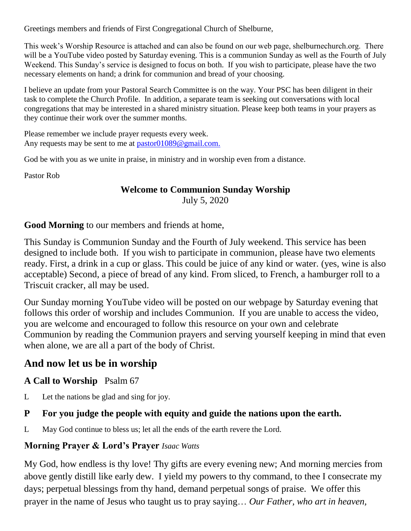Greetings members and friends of First Congregational Church of Shelburne,

This week's Worship Resource is attached and can also be found on our web page, shelburnechurch.org. There will be a YouTube video posted by Saturday evening. This is a communion Sunday as well as the Fourth of July Weekend. This Sunday's service is designed to focus on both. If you wish to participate, please have the two necessary elements on hand; a drink for communion and bread of your choosing.

I believe an update from your Pastoral Search Committee is on the way. Your PSC has been diligent in their task to complete the Church Profile. In addition, a separate team is seeking out conversations with local congregations that may be interested in a shared ministry situation. Please keep both teams in your prayers as they continue their work over the summer months.

Please remember we include prayer requests every week. Any requests may be sent to me at [pastor01089@gmail.com.](mailto:pastor01089@gmail.com)

God be with you as we unite in praise, in ministry and in worship even from a distance.

Pastor Rob

## **Welcome to Communion Sunday Worship** July 5, 2020

**Good Morning** to our members and friends at home,

This Sunday is Communion Sunday and the Fourth of July weekend. This service has been designed to include both. If you wish to participate in communion, please have two elements ready. First, a drink in a cup or glass. This could be juice of any kind or water. (yes, wine is also acceptable) Second, a piece of bread of any kind. From sliced, to French, a hamburger roll to a Triscuit cracker, all may be used.

Our Sunday morning YouTube video will be posted on our webpage by Saturday evening that follows this order of worship and includes Communion. If you are unable to access the video, you are welcome and encouraged to follow this resource on your own and celebrate Communion by reading the Communion prayers and serving yourself keeping in mind that even when alone, we are all a part of the body of Christ.

# **And now let us be in worship**

## **A Call to Worship** Psalm 67

L Let the nations be glad and sing for joy.

## **P For you judge the people with equity and guide the nations upon the earth.**

L May God continue to bless us; let all the ends of the earth revere the Lord.

## **Morning Prayer & Lord's Prayer** *Isaac Watts*

My God, how endless is thy love! Thy gifts are every evening new; And morning mercies from above gently distill like early dew. I yield my powers to thy command, to thee I consecrate my days; perpetual blessings from thy hand, demand perpetual songs of praise. We offer this prayer in the name of Jesus who taught us to pray saying… *Our Father, who art in heaven,*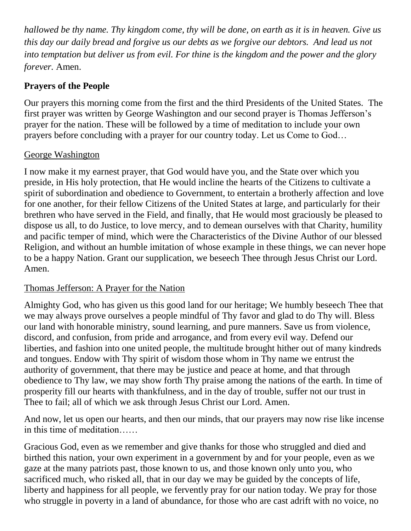*hallowed be thy name. Thy kingdom come, thy will be done, on earth as it is in heaven. Give us this day our daily bread and forgive us our debts as we forgive our debtors. And lead us not into temptation but deliver us from evil. For thine is the kingdom and the power and the glory forever.* Amen.

## **Prayers of the People**

Our prayers this morning come from the first and the third Presidents of the United States. The first prayer was written by George Washington and our second prayer is Thomas Jefferson's prayer for the nation. These will be followed by a time of meditation to include your own prayers before concluding with a prayer for our country today. Let us Come to God…

### George Washington

I now make it my earnest prayer, that God would have you, and the State over which you preside, in His holy protection, that He would incline the hearts of the Citizens to cultivate a spirit of subordination and obedience to Government, to entertain a brotherly affection and love for one another, for their fellow Citizens of the United States at large, and particularly for their brethren who have served in the Field, and finally, that He would most graciously be pleased to dispose us all, to do Justice, to love mercy, and to demean ourselves with that Charity, humility and pacific temper of mind, which were the Characteristics of the Divine Author of our blessed Religion, and without an humble imitation of whose example in these things, we can never hope to be a happy Nation. Grant our supplication, we beseech Thee through Jesus Christ our Lord. Amen.

## Thomas Jefferson: A Prayer for the Nation

Almighty God, who has given us this good land for our heritage; We humbly beseech Thee that we may always prove ourselves a people mindful of Thy favor and glad to do Thy will. Bless our land with honorable ministry, sound learning, and pure manners. Save us from violence, discord, and confusion, from pride and arrogance, and from every evil way. Defend our liberties, and fashion into one united people, the multitude brought hither out of many kindreds and tongues. Endow with Thy spirit of wisdom those whom in Thy name we entrust the authority of government, that there may be justice and peace at home, and that through obedience to Thy law, we may show forth Thy praise among the nations of the earth. In time of prosperity fill our hearts with thankfulness, and in the day of trouble, suffer not our trust in Thee to fail; all of which we ask through Jesus Christ our Lord. Amen.

And now, let us open our hearts, and then our minds, that our prayers may now rise like incense in this time of meditation……

Gracious God, even as we remember and give thanks for those who struggled and died and birthed this nation, your own experiment in a government by and for your people, even as we gaze at the many patriots past, those known to us, and those known only unto you, who sacrificed much, who risked all, that in our day we may be guided by the concepts of life, liberty and happiness for all people, we fervently pray for our nation today. We pray for those who struggle in poverty in a land of abundance, for those who are cast adrift with no voice, no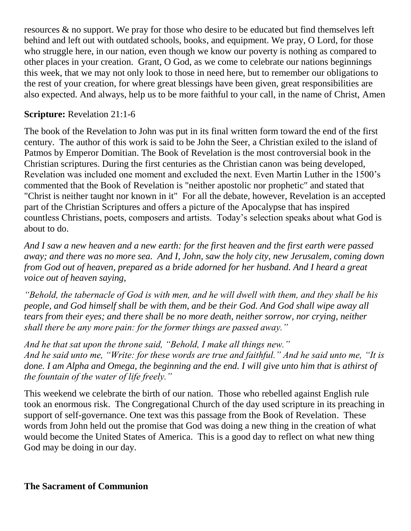resources & no support. We pray for those who desire to be educated but find themselves left behind and left out with outdated schools, books, and equipment. We pray, O Lord, for those who struggle here, in our nation, even though we know our poverty is nothing as compared to other places in your creation. Grant, O God, as we come to celebrate our nations beginnings this week, that we may not only look to those in need here, but to remember our obligations to the rest of your creation, for where great blessings have been given, great responsibilities are also expected. And always, help us to be more faithful to your call, in the name of Christ, Amen

#### **Scripture:** Revelation 21:1-6

The book of the Revelation to John was put in its final written form toward the end of the first century. The author of this work is said to be John the Seer, a Christian exiled to the island of Patmos by Emperor Domitian. The Book of Revelation is the most controversial book in the Christian scriptures. During the first centuries as the Christian canon was being developed, Revelation was included one moment and excluded the next. Even Martin Luther in the 1500's commented that the Book of Revelation is "neither apostolic nor prophetic" and stated that "Christ is neither taught nor known in it" For all the debate, however, Revelation is an accepted part of the Christian Scriptures and offers a picture of the Apocalypse that has inspired countless Christians, poets, composers and artists. Today's selection speaks about what God is about to do.

*And I saw a new heaven and a new earth: for the first heaven and the first earth were passed away; and there was no more sea. And I, John, saw the holy city, new Jerusalem, coming down from God out of heaven, prepared as a bride adorned for her husband. And I heard a great voice out of heaven saying,* 

*"Behold, the tabernacle of God is with men, and he will dwell with them, and they shall be his people, and God himself shall be with them, and be their God. And God shall wipe away all tears from their eyes; and there shall be no more death, neither sorrow, nor crying, neither shall there be any more pain: for the former things are passed away."* 

*And he that sat upon the throne said, "Behold, I make all things new." And he said unto me, "Write: for these words are true and faithful." And he said unto me, "It is done. I am Alpha and Omega, the beginning and the end. I will give unto him that is athirst of the fountain of the water of life freely."*

This weekend we celebrate the birth of our nation. Those who rebelled against English rule took an enormous risk. The Congregational Church of the day used scripture in its preaching in support of self-governance. One text was this passage from the Book of Revelation. These words from John held out the promise that God was doing a new thing in the creation of what would become the United States of America. This is a good day to reflect on what new thing God may be doing in our day.

#### **The Sacrament of Communion**